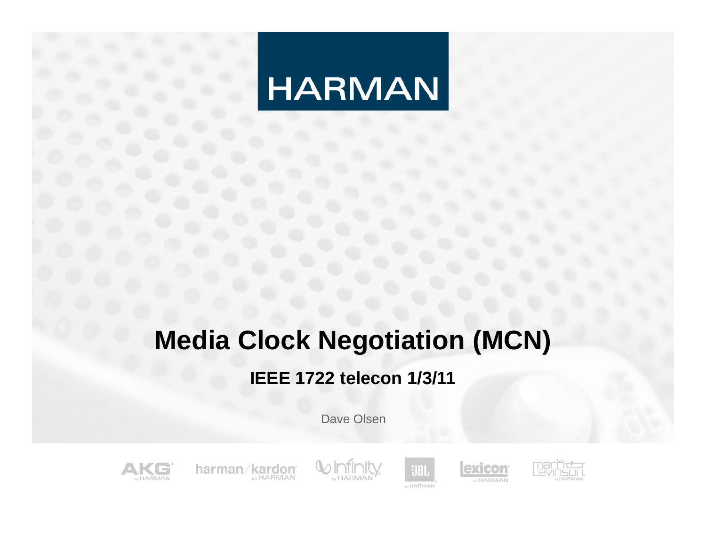# **HARMAN**

# **Media Clock Negotiation (MCN)**

#### **IEEE 1722 telecon 1/3/11**

Dave Olsen



harman/kardon **MARMAN** by HARMAN





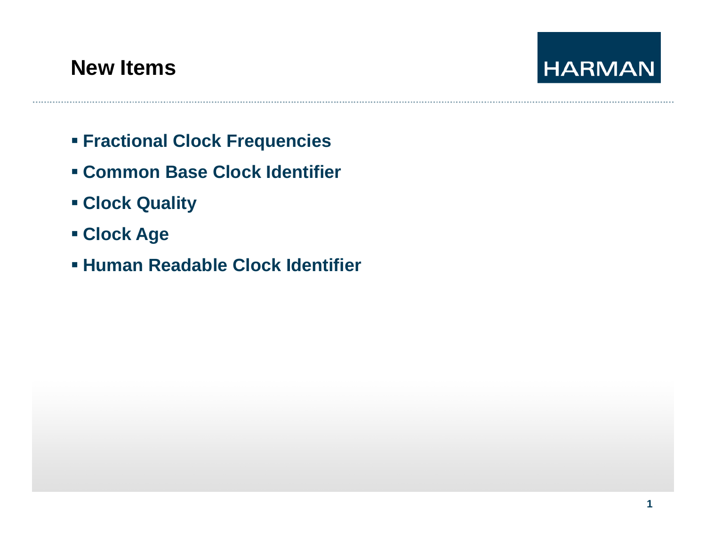### **New Items**



- **Fractional Clock Frequencies**
- **Common Base Clock Identifier**
- **Clock Quality**
- **Clock Age**
- **Human Readable Clock Identifier**

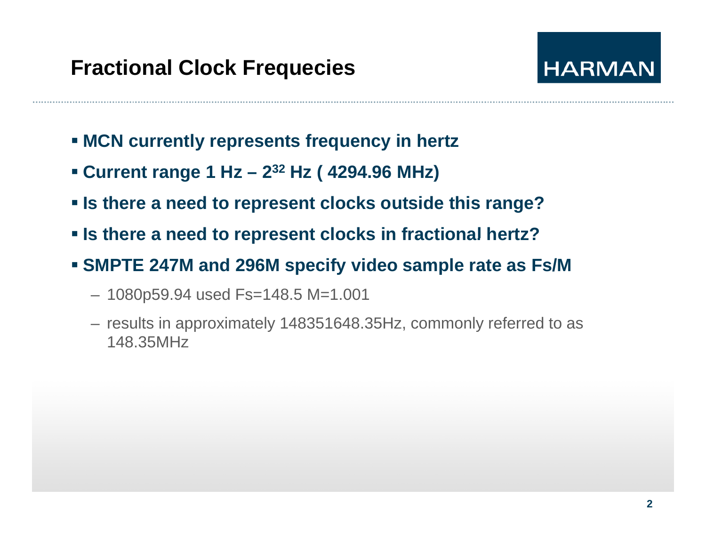

- **MCN currently represents frequency in hertz**
- **Current range 1 Hz 2<sup>32</sup> Hz (2494.96 MHz)**
- **Is there a need to represent clocks outside this range?**
- **Is there <sup>a</sup> need to represent clocks in fractional hertz?**
- **SMPTE 247M and 296M specify video sample rate as Fs/M**
	- 1080p59.94 used Fs=148.5 M=1.001
	- results in approximately 148351648.35Hz, commonly referred to as 148.35MHz

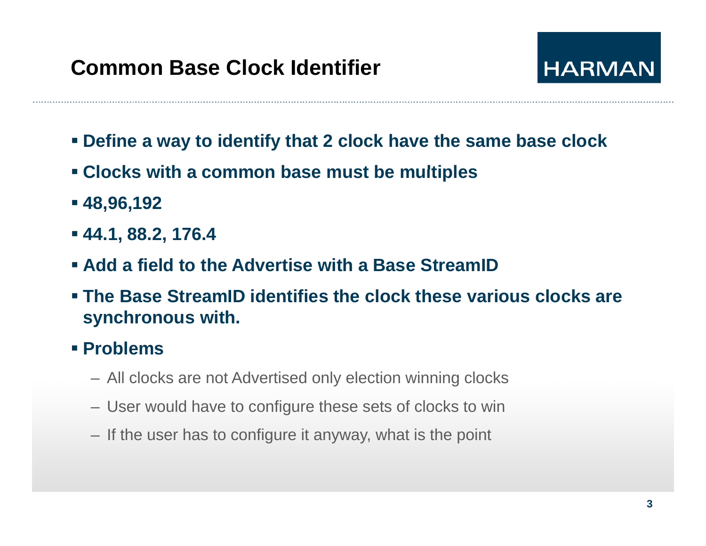

- **Define a way to identify that 2 clock have the same base clock**
- **Clocks with <sup>a</sup> common base must be multiples**
- **48,96,192**
- **44.1, 88.2, 176.4**
- **Add a field to the Advertise with a Base StreamID**
- **The Base StreamID identifies the clock these various clocks are synchronous with.**
- **Problems**
	- All clocks are not Advertised only election winning clocks
	- User would have to configure these sets of clocks to win
	- If the user has to configure it anyway, what is the point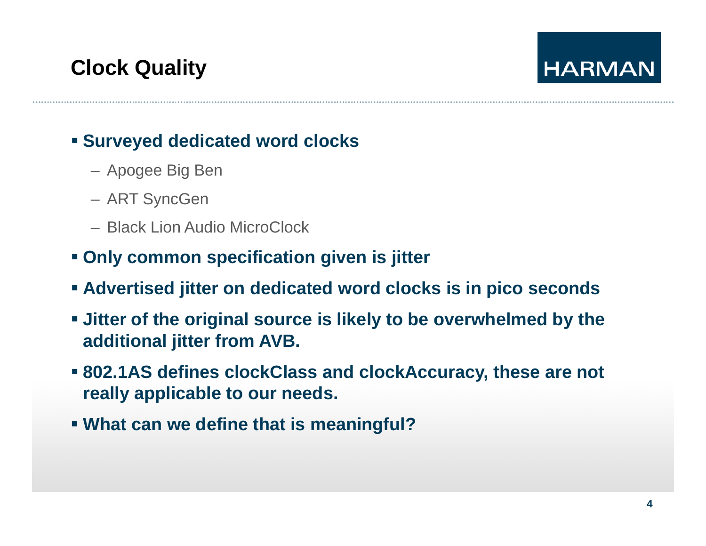#### **Surveyed dedicated word clocks**

- Apogee Big Ben
- ART SyncGen
- Black Lion Audio MicroClock
- **Only common specification given is jitter**
- **Advertised jitter on dedicated word clocks is in pico seconds**
- **Jitter of the original source is likely to be overwhelmed by the additional jitter from AVB.**
- **802.1AS defines clockClass and clockAccuracy clockAccuracy, these are not , really applicable to our needs.**
- **What can we define that is meaningful?**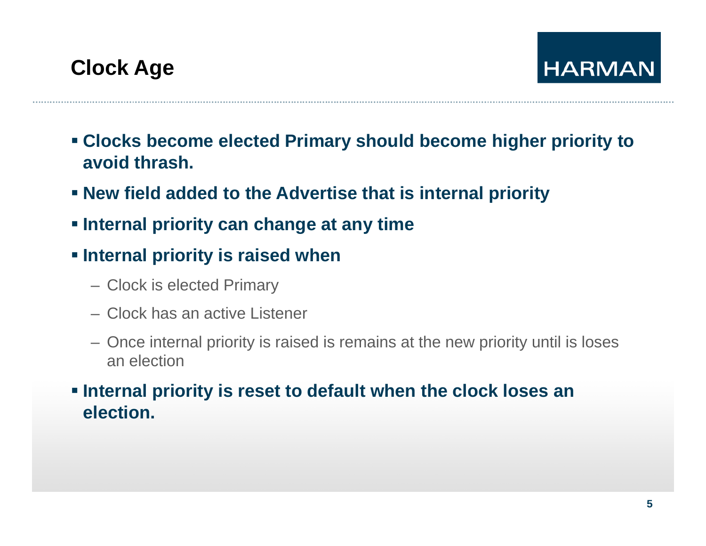- **Clocks become elected Primary should become higher priority to avoid thrash.**
- **New field added to the Advertise that is internal priority**
- **Internal priority can change at any time**
- **Internal priority is raised when** 
	- Clock is elected Primary
	- Clock has an active Listener
	- Once internal priority is raised is remains at the new priority until is loses an election
- **Internal priority is reset to default when the clock loses an election.**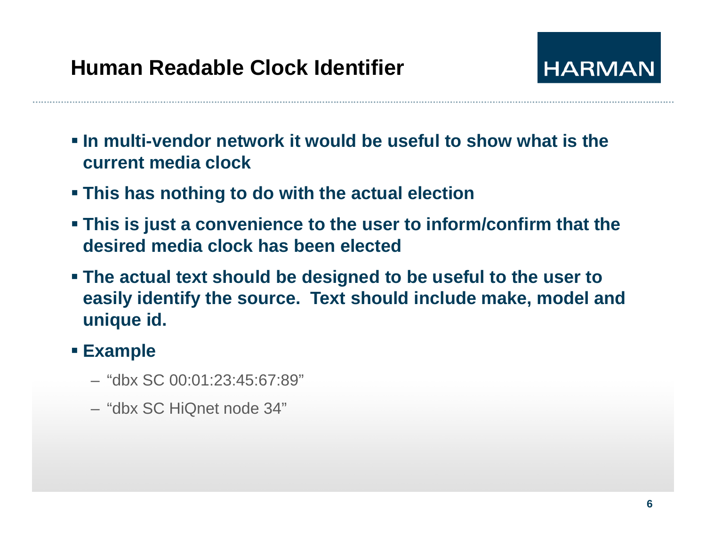

- **In multi-vendor network it would be useful to show what is the current media clock**
- **This has nothing to do with the actual election**
- **This is just a convenience to the user to inform/confirm that the desired media clock has been elected**
- **The actual text should be designed to be useful to the user to**  easily identify the source. Text should include make, model and **unique id.**
- **Example** 
	- –"dbx SC 00 01 23 45 67 89" 00:01:23:45:67:89"
	- "dbx SC HiQnet node 34"